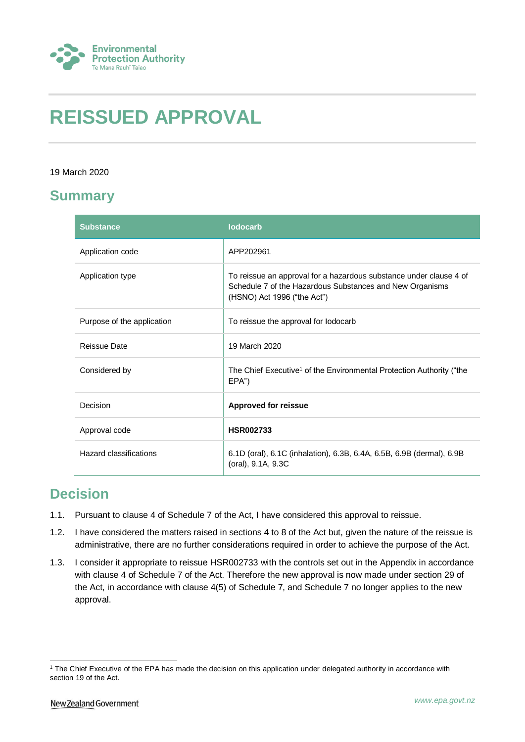

# **REISSUED APPROVAL**

#### 19 March 2020

## **Summary**

| <b>Substance</b>           | <b>lodocarb</b>                                                                                                                                               |
|----------------------------|---------------------------------------------------------------------------------------------------------------------------------------------------------------|
| Application code           | APP202961                                                                                                                                                     |
| Application type           | To reissue an approval for a hazardous substance under clause 4 of<br>Schedule 7 of the Hazardous Substances and New Organisms<br>(HSNO) Act 1996 ("the Act") |
| Purpose of the application | To reissue the approval for lodocarb                                                                                                                          |
| Reissue Date               | 19 March 2020                                                                                                                                                 |
| Considered by              | The Chief Executive <sup>1</sup> of the Environmental Protection Authority ("the<br>EPA")                                                                     |
| Decision                   | <b>Approved for reissue</b>                                                                                                                                   |
| Approval code              | <b>HSR002733</b>                                                                                                                                              |
| Hazard classifications     | 6.1D (oral), 6.1C (inhalation), 6.3B, 6.4A, 6.5B, 6.9B (dermal), 6.9B<br>(oral), 9.1A, 9.3C                                                                   |

## **Decision**

- 1.1. Pursuant to clause 4 of Schedule 7 of the Act, I have considered this approval to reissue.
- 1.2. I have considered the matters raised in sections 4 to 8 of the Act but, given the nature of the reissue is administrative, there are no further considerations required in order to achieve the purpose of the Act.
- 1.3. I consider it appropriate to reissue HSR002733 with the controls set out in the Appendix in accordance with clause 4 of Schedule 7 of the Act. Therefore the new approval is now made under section 29 of the Act, in accordance with clause 4(5) of Schedule 7, and Schedule 7 no longer applies to the new approval.

1

<sup>&</sup>lt;sup>1</sup> The Chief Executive of the EPA has made the decision on this application under delegated authority in accordance with section 19 of the Act.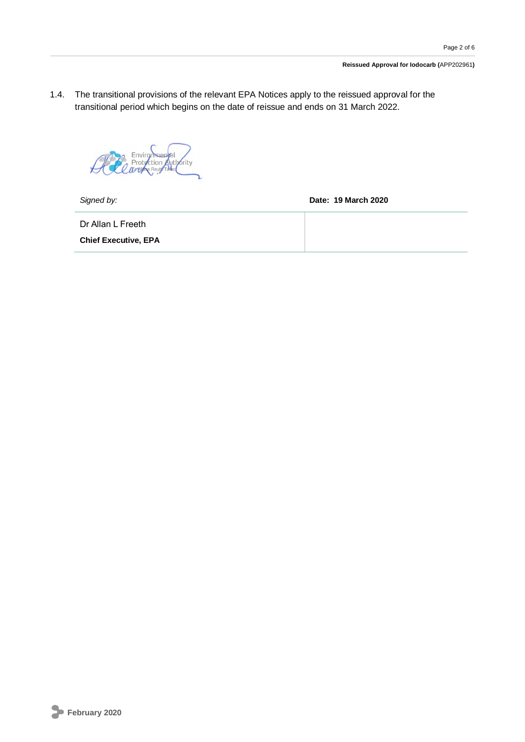1.4. The transitional provisions of the relevant EPA Notices apply to the reissued approval for the transitional period which begins on the date of reissue and ends on 31 March 2022.

Environmental<br>Protection Authority<br>*Drugh* Raunt Taloo

*Signed by:* **Date: 19 March 2020**

Dr Allan L Freeth

**Chief Executive, EPA**

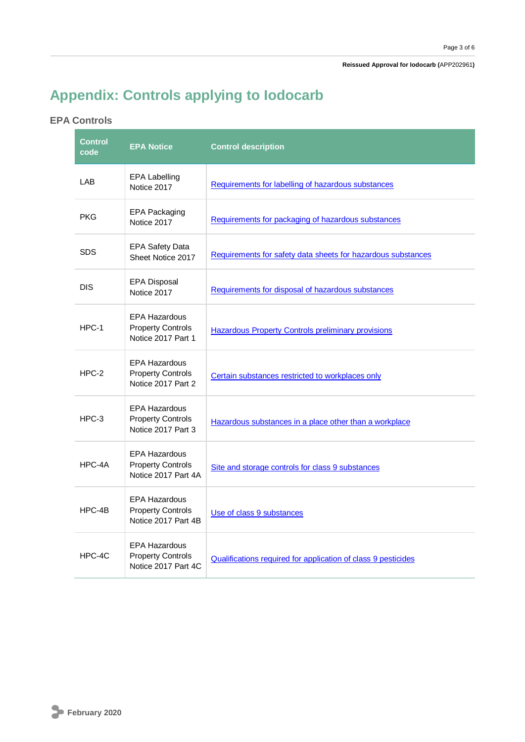# **Appendix: Controls applying to Iodocarb**

### **EPA Controls**

| <b>Control</b><br>code | <b>EPA Notice</b>                                                       | <b>Control description</b>                                    |
|------------------------|-------------------------------------------------------------------------|---------------------------------------------------------------|
| LAB                    | <b>EPA Labelling</b><br>Notice 2017                                     | Requirements for labelling of hazardous substances            |
| <b>PKG</b>             | <b>EPA Packaging</b><br>Notice 2017                                     | Requirements for packaging of hazardous substances            |
| <b>SDS</b>             | <b>EPA Safety Data</b><br>Sheet Notice 2017                             | Requirements for safety data sheets for hazardous substances  |
| <b>DIS</b>             | <b>EPA Disposal</b><br>Notice 2017                                      | Requirements for disposal of hazardous substances             |
| $HPC-1$                | <b>EPA Hazardous</b><br><b>Property Controls</b><br>Notice 2017 Part 1  | <b>Hazardous Property Controls preliminary provisions</b>     |
| $HPC-2$                | <b>EPA Hazardous</b><br><b>Property Controls</b><br>Notice 2017 Part 2  | Certain substances restricted to workplaces only              |
| HPC-3                  | <b>EPA Hazardous</b><br><b>Property Controls</b><br>Notice 2017 Part 3  | Hazardous substances in a place other than a workplace        |
| HPC-4A                 | <b>EPA Hazardous</b><br><b>Property Controls</b><br>Notice 2017 Part 4A | Site and storage controls for class 9 substances              |
| $HPC-4B$               | <b>EPA Hazardous</b><br><b>Property Controls</b><br>Notice 2017 Part 4B | Use of class 9 substances                                     |
| HPC-4C                 | <b>EPA Hazardous</b><br><b>Property Controls</b><br>Notice 2017 Part 4C | Qualifications required for application of class 9 pesticides |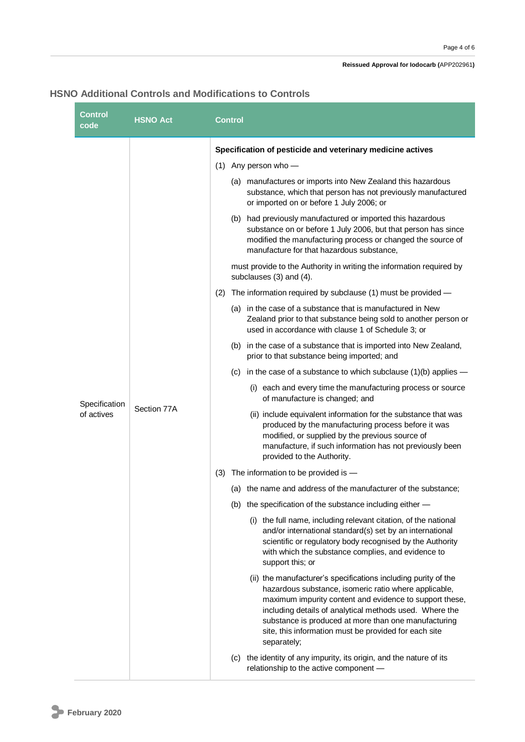#### **Reissued Approval for Iodocarb (**APP202961**)**

### **HSNO Additional Controls and Modifications to Controls**

| <b>Control</b><br>code    | <b>HSNO Act</b> | Control                                                                                                                                                                                                                                                                                                                                                                       |
|---------------------------|-----------------|-------------------------------------------------------------------------------------------------------------------------------------------------------------------------------------------------------------------------------------------------------------------------------------------------------------------------------------------------------------------------------|
|                           |                 | Specification of pesticide and veterinary medicine actives                                                                                                                                                                                                                                                                                                                    |
|                           |                 | $(1)$ Any person who -                                                                                                                                                                                                                                                                                                                                                        |
|                           |                 | (a) manufactures or imports into New Zealand this hazardous<br>substance, which that person has not previously manufactured<br>or imported on or before 1 July 2006; or                                                                                                                                                                                                       |
|                           |                 | (b) had previously manufactured or imported this hazardous<br>substance on or before 1 July 2006, but that person has since<br>modified the manufacturing process or changed the source of<br>manufacture for that hazardous substance,                                                                                                                                       |
|                           |                 | must provide to the Authority in writing the information required by<br>subclauses (3) and (4).                                                                                                                                                                                                                                                                               |
|                           |                 | The information required by subclause (1) must be provided -<br>(2)                                                                                                                                                                                                                                                                                                           |
|                           |                 | (a) in the case of a substance that is manufactured in New<br>Zealand prior to that substance being sold to another person or<br>used in accordance with clause 1 of Schedule 3; or                                                                                                                                                                                           |
|                           |                 | (b) in the case of a substance that is imported into New Zealand,<br>prior to that substance being imported; and                                                                                                                                                                                                                                                              |
|                           |                 | (c) in the case of a substance to which subclause $(1)(b)$ applies —                                                                                                                                                                                                                                                                                                          |
| Specification             |                 | (i) each and every time the manufacturing process or source<br>of manufacture is changed; and                                                                                                                                                                                                                                                                                 |
| Section 77A<br>of actives |                 | (ii) include equivalent information for the substance that was<br>produced by the manufacturing process before it was<br>modified, or supplied by the previous source of<br>manufacture, if such information has not previously been<br>provided to the Authority.                                                                                                            |
|                           |                 | (3) The information to be provided is -                                                                                                                                                                                                                                                                                                                                       |
|                           |                 | (a) the name and address of the manufacturer of the substance;                                                                                                                                                                                                                                                                                                                |
|                           |                 | (b) the specification of the substance including either -                                                                                                                                                                                                                                                                                                                     |
|                           |                 | (i) the full name, including relevant citation, of the national<br>and/or international standard(s) set by an international<br>scientific or regulatory body recognised by the Authority<br>with which the substance complies, and evidence to<br>support this; or                                                                                                            |
|                           |                 | (ii) the manufacturer's specifications including purity of the<br>hazardous substance, isomeric ratio where applicable,<br>maximum impurity content and evidence to support these,<br>including details of analytical methods used. Where the<br>substance is produced at more than one manufacturing<br>site, this information must be provided for each site<br>separately; |
|                           |                 | (c) the identity of any impurity, its origin, and the nature of its<br>relationship to the active component -                                                                                                                                                                                                                                                                 |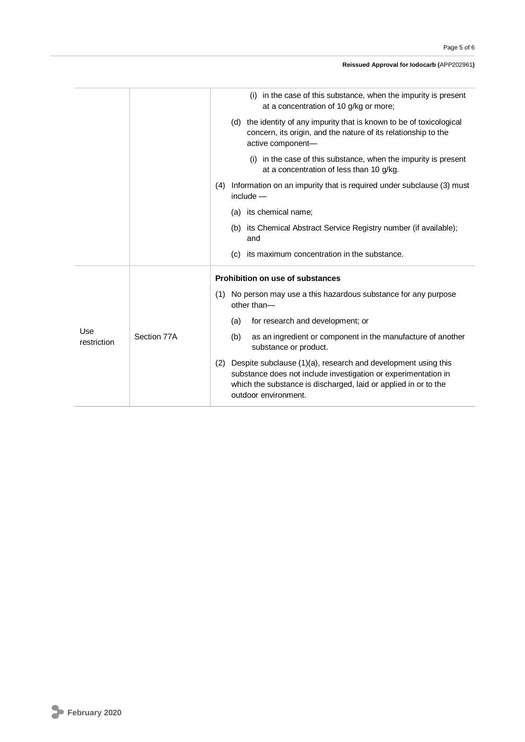#### **Reissued Approval for Iodocarb (**APP202961**)**

|                    |             | (i) in the case of this substance, when the impurity is present<br>at a concentration of 10 g/kg or more;                                                                                                                         |
|--------------------|-------------|-----------------------------------------------------------------------------------------------------------------------------------------------------------------------------------------------------------------------------------|
|                    |             | (d) the identity of any impurity that is known to be of toxicological<br>concern, its origin, and the nature of its relationship to the<br>active component-                                                                      |
|                    |             | (i) in the case of this substance, when the impurity is present<br>at a concentration of less than 10 g/kg.                                                                                                                       |
|                    |             | (4) Information on an impurity that is required under subclause (3) must<br>$include -$                                                                                                                                           |
|                    |             | (a) its chemical name;                                                                                                                                                                                                            |
|                    |             | (b) its Chemical Abstract Service Registry number (if available);<br>and                                                                                                                                                          |
|                    |             | its maximum concentration in the substance.<br>(c)                                                                                                                                                                                |
|                    |             | Prohibition on use of substances                                                                                                                                                                                                  |
| Use<br>restriction |             | (1) No person may use a this hazardous substance for any purpose<br>other than-                                                                                                                                                   |
|                    | Section 77A | for research and development; or<br>(a)                                                                                                                                                                                           |
|                    |             | as an ingredient or component in the manufacture of another<br>(b)<br>substance or product.                                                                                                                                       |
|                    |             | Despite subclause (1)(a), research and development using this<br>(2)<br>substance does not include investigation or experimentation in<br>which the substance is discharged, laid or applied in or to the<br>outdoor environment. |